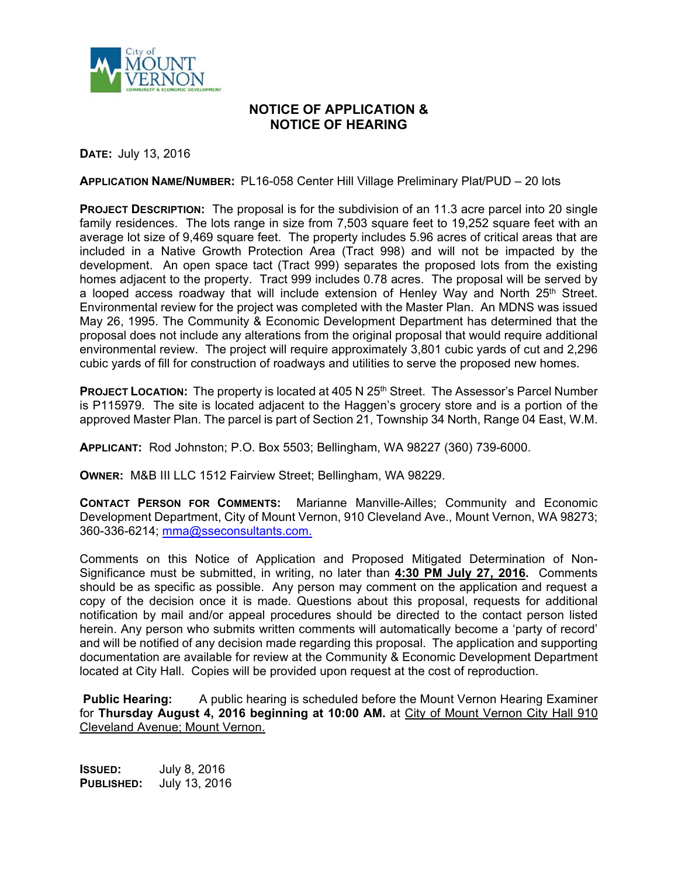

## **NOTICE OF APPLICATION & NOTICE OF HEARING**

**DATE:** July 13, 2016

**APPLICATION NAME/NUMBER:** PL16-058 Center Hill Village Preliminary Plat/PUD – 20 lots

**PROJECT DESCRIPTION:** The proposal is for the subdivision of an 11.3 acre parcel into 20 single family residences. The lots range in size from 7,503 square feet to 19,252 square feet with an average lot size of 9,469 square feet. The property includes 5.96 acres of critical areas that are included in a Native Growth Protection Area (Tract 998) and will not be impacted by the development. An open space tact (Tract 999) separates the proposed lots from the existing homes adjacent to the property. Tract 999 includes 0.78 acres. The proposal will be served by a looped access roadway that will include extension of Henley Way and North 25<sup>th</sup> Street. Environmental review for the project was completed with the Master Plan. An MDNS was issued May 26, 1995. The Community & Economic Development Department has determined that the proposal does not include any alterations from the original proposal that would require additional environmental review. The project will require approximately 3,801 cubic yards of cut and 2,296 cubic yards of fill for construction of roadways and utilities to serve the proposed new homes.

**PROJECT LOCATION:** The property is located at 405 N 25<sup>th</sup> Street. The Assessor's Parcel Number is P115979. The site is located adjacent to the Haggen's grocery store and is a portion of the approved Master Plan. The parcel is part of Section 21, Township 34 North, Range 04 East, W.M.

**APPLICANT:** Rod Johnston; P.O. Box 5503; Bellingham, WA 98227 (360) 739-6000.

**OWNER:** M&B III LLC 1512 Fairview Street; Bellingham, WA 98229.

**CONTACT PERSON FOR COMMENTS:** Marianne Manville-Ailles; Community and Economic Development Department, City of Mount Vernon, 910 Cleveland Ave., Mount Vernon, WA 98273; 360-336-6214; mma@sseconsultants.com.

Comments on this Notice of Application and Proposed Mitigated Determination of Non-Significance must be submitted, in writing, no later than **4:30 PM July 27, 2016.** Comments should be as specific as possible. Any person may comment on the application and request a copy of the decision once it is made. Questions about this proposal, requests for additional notification by mail and/or appeal procedures should be directed to the contact person listed herein. Any person who submits written comments will automatically become a 'party of record' and will be notified of any decision made regarding this proposal. The application and supporting documentation are available for review at the Community & Economic Development Department located at City Hall. Copies will be provided upon request at the cost of reproduction.

**Public Hearing:** A public hearing is scheduled before the Mount Vernon Hearing Examiner for **Thursday August 4, 2016 beginning at 10:00 AM.** at City of Mount Vernon City Hall 910 Cleveland Avenue; Mount Vernon.

**ISSUED:** July 8, 2016 **PUBLISHED:** July 13, 2016